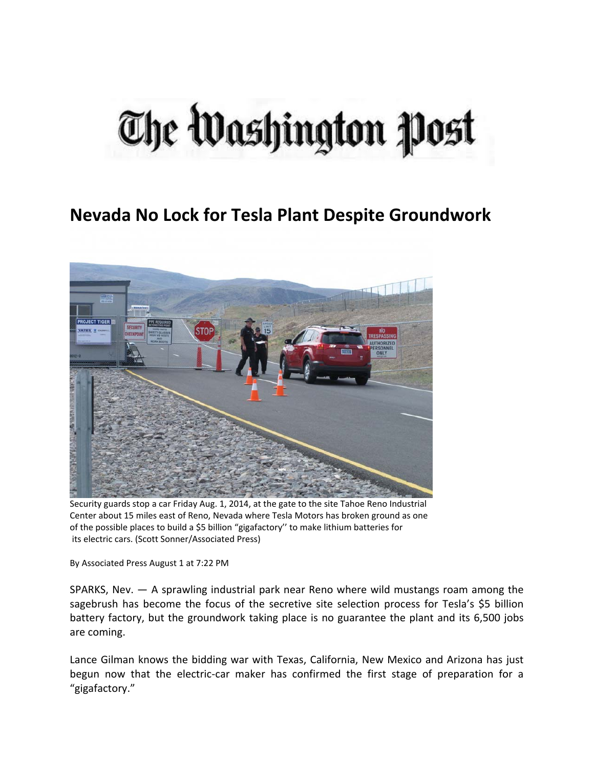## The Washington Post

## **Nevada No Lock for Tesla Plant Despite Groundwork**



Security guards stop a car Friday Aug. 1, 2014, at the gate to the site Tahoe Reno Industrial Center about 15 miles east of Reno, Nevada where Tesla Motors has broken ground as one of the possible places to build a \$5 billion "gigafactory'' to make lithium batteries for its electric cars. (Scott Sonner/Associated Press)

By Associated Press August 1 at 7:22 PM

SPARKS, Nev. — A sprawling industrial park near Reno where wild mustangs roam among the sagebrush has become the focus of the secretive site selection process for Tesla's \$5 billion battery factory, but the groundwork taking place is no guarantee the plant and its 6,500 jobs are coming.

Lance Gilman knows the bidding war with Texas, California, New Mexico and Arizona has just begun now that the electric-car maker has confirmed the first stage of preparation for a "gigafactory."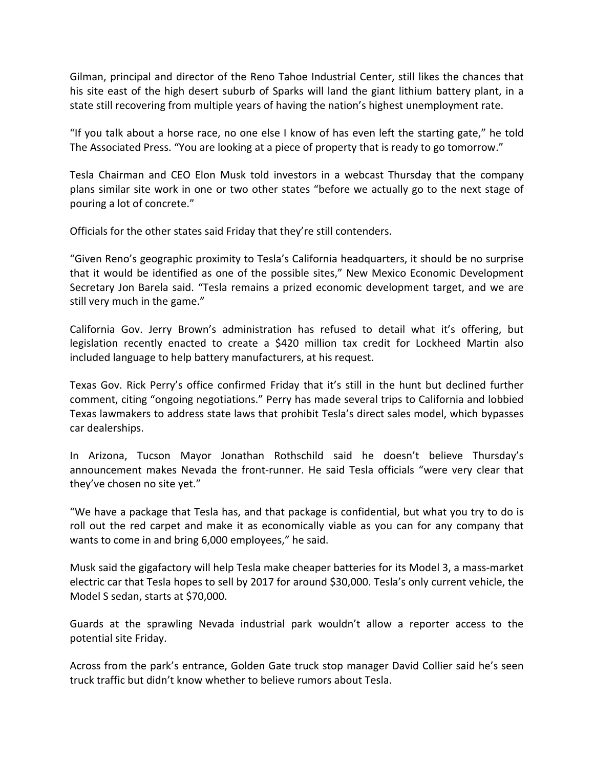Gilman, principal and director of the Reno Tahoe Industrial Center, still likes the chances that his site east of the high desert suburb of Sparks will land the giant lithium battery plant, in a state still recovering from multiple years of having the nation's highest unemployment rate.

"If you talk about a horse race, no one else I know of has even left the starting gate," he told The Associated Press. "You are looking at a piece of property that is ready to go tomorrow."

Tesla Chairman and CEO Elon Musk told investors in a webcast Thursday that the company plans similar site work in one or two other states "before we actually go to the next stage of pouring a lot of concrete."

Officials for the other states said Friday that they're still contenders.

"Given Reno's geographic proximity to Tesla's California headquarters, it should be no surprise that it would be identified as one of the possible sites," New Mexico Economic Development Secretary Jon Barela said. "Tesla remains a prized economic development target, and we are still very much in the game."

California Gov. Jerry Brown's administration has refused to detail what it's offering, but legislation recently enacted to create a \$420 million tax credit for Lockheed Martin also included language to help battery manufacturers, at his request.

Texas Gov. Rick Perry's office confirmed Friday that it's still in the hunt but declined further comment, citing "ongoing negotiations." Perry has made several trips to California and lobbied Texas lawmakers to address state laws that prohibit Tesla's direct sales model, which bypasses car dealerships.

In Arizona, Tucson Mayor Jonathan Rothschild said he doesn't believe Thursday's announcement makes Nevada the front-runner. He said Tesla officials "were very clear that they've chosen no site yet."

"We have a package that Tesla has, and that package is confidential, but what you try to do is roll out the red carpet and make it as economically viable as you can for any company that wants to come in and bring 6,000 employees," he said.

Musk said the gigafactory will help Tesla make cheaper batteries for its Model 3, a mass-market electric car that Tesla hopes to sell by 2017 for around \$30,000. Tesla's only current vehicle, the Model S sedan, starts at \$70,000.

Guards at the sprawling Nevada industrial park wouldn't allow a reporter access to the potential site Friday.

Across from the park's entrance, Golden Gate truck stop manager David Collier said he's seen truck traffic but didn't know whether to believe rumors about Tesla.